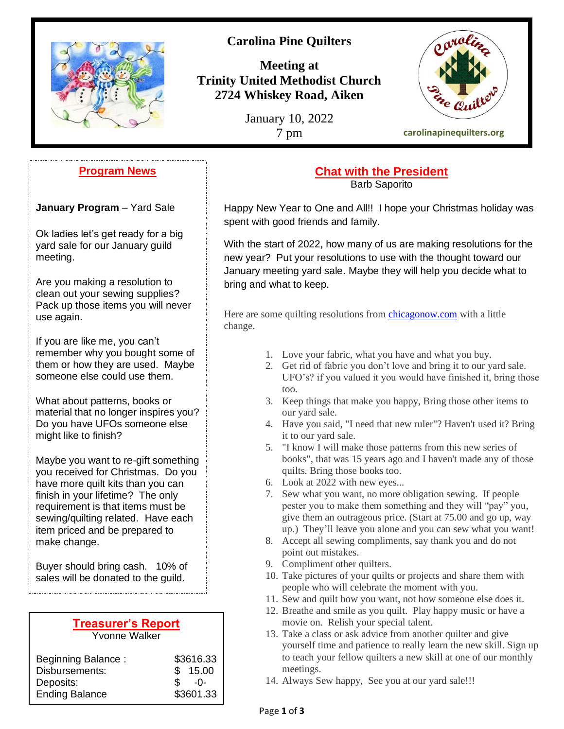

# **Carolina Pine Quilters**

**Meeting at Trinity United Methodist Church 2724 Whiskey Road, Aiken**

January 10, 2022



#### **Program News**

**January Program** – Yard Sale

Ok ladies let's get ready for a big yard sale for our January guild meeting.

Are you making a resolution to clean out your sewing supplies? Pack up those items you will never use again.

If you are like me, you can't remember why you bought some of them or how they are used. Maybe someone else could use them.

What about patterns, books or material that no longer inspires you? Do you have UFOs someone else might like to finish?

Maybe you want to re-gift something you received for Christmas. Do you have more quilt kits than you can finish in your lifetime? The only requirement is that items must be sewing/quilting related. Have each item priced and be prepared to make change.

Buyer should bring cash. 10% of sales will be donated to the guild.

#### **Treasurer's Report** Yvonne Walker

| <b>Beginning Balance:</b> |               | \$3616.33 |
|---------------------------|---------------|-----------|
| Disbursements:            |               | \$15.00   |
| Deposits:                 | $\mathcal{S}$ | $-0-$     |
| <b>Ending Balance</b>     |               | \$3601.33 |
|                           |               |           |

# **Chat with the President**

Barb Saporito

Happy New Year to One and All!! I hope your Christmas holiday was spent with good friends and family.

With the start of 2022, how many of us are making resolutions for the new year? Put your resolutions to use with the thought toward our January meeting yard sale. Maybe they will help you decide what to bring and what to keep.

Here are some quilting resolutions from [chicagonow.com](http://chicagonow.com/) with a little change.

- 1. Love your fabric, what you have and what you buy.
- 2. Get rid of fabric you don't love and bring it to our yard sale. UFO's? if you valued it you would have finished it, bring those too.
- 3. Keep things that make you happy, Bring those other items to our yard sale.
- 4. Have you said, "I need that new ruler"? Haven't used it? Bring it to our yard sale.
- 5. "I know I will make those patterns from this new series of books", that was 15 years ago and I haven't made any of those quilts. Bring those books too.
- 6. Look at 2022 with new eyes...
- 7. Sew what you want, no more obligation sewing. If people pester you to make them something and they will "pay" you, give them an outrageous price. (Start at 75.00 and go up, way up.) They'll leave you alone and you can sew what you want!
- 8. Accept all sewing compliments, say thank you and do not point out mistakes.
- 9. Compliment other quilters.
- 10. Take pictures of your quilts or projects and share them with people who will celebrate the moment with you.
- 11. Sew and quilt how you want, not how someone else does it.
- 12. Breathe and smile as you quilt. Play happy music or have a movie on. Relish your special talent.
- 13. Take a class or ask advice from another quilter and give yourself time and patience to really learn the new skill. Sign up to teach your fellow quilters a new skill at one of our monthly meetings.
- 14. Always Sew happy, See you at our yard sale!!!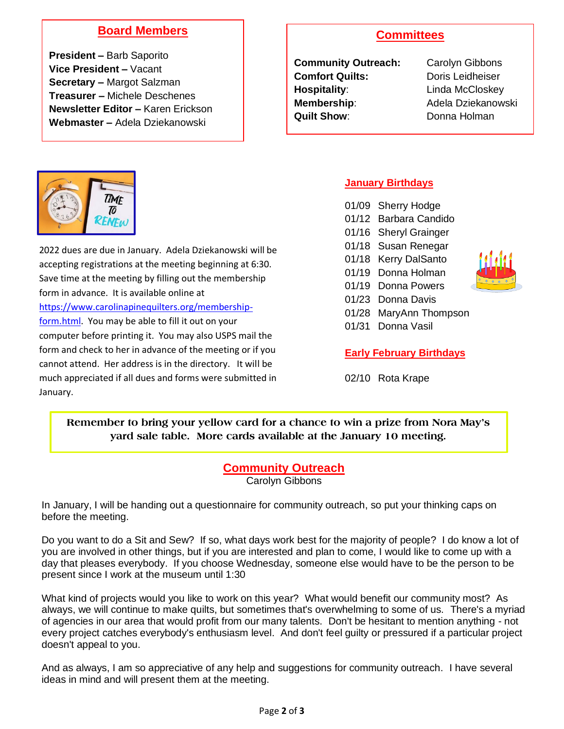## **Board Members**

**President –** Barb Saporito **Vice President –** Vacant **Secretary –** Margot Salzman **Treasurer –** Michele Deschenes **Newsletter Editor –** Karen Erickson **Webmaster –** Adela Dziekanowski

## **Committees**

**Community Outreach:** Carolyn Gibbons **Comfort Quilts:** Doris Leidheiser **Hospitality:** Linda McCloskey **Membership:** Adela Dziekanowski **Quilt Show:** Donna Holman



2022 dues are due in January. Adela Dziekanowski will be accepting registrations at the meeting beginning at 6:30. Save time at the meeting by filling out the membership form in advance. It is available online at [https://www.carolinapinequilters.org/membership](https://www.carolinapinequilters.org/membership-form.html)[form.html.](https://www.carolinapinequilters.org/membership-form.html) You may be able to fill it out on your computer before printing it. You may also USPS mail the form and check to her in advance of the meeting or if you cannot attend. Her address is in the directory. It will be much appreciated if all dues and forms were submitted in January.

#### **January Birthdays**

01/09 Sherry Hodge 01/12 Barbara Candido 01/16 Sheryl Grainger 01/18 Susan Renegar 01/18 Kerry DalSanto 01/19 Donna Holman 01/19 Donna Powers 01/23 Donna Davis 01/28 MaryAnn Thompson 01/31 Donna Vasil



#### **Early February Birthdays**

02/10 Rota Krape

**Remember to bring your yellow card for a chance to win a prize from Nora May's yard sale table. More cards available at the January 10 meeting.**

## **Community Outreach**

Carolyn Gibbons

In January, I will be handing out a questionnaire for community outreach, so put your thinking caps on before the meeting.

Do you want to do a Sit and Sew? If so, what days work best for the majority of people? I do know a lot of you are involved in other things, but if you are interested and plan to come, I would like to come up with a day that pleases everybody. If you choose Wednesday, someone else would have to be the person to be present since I work at the museum until 1:30

What kind of projects would you like to work on this year? What would benefit our community most? As always, we will continue to make quilts, but sometimes that's overwhelming to some of us. There's a myriad of agencies in our area that would profit from our many talents. Don't be hesitant to mention anything - not every project catches everybody's enthusiasm level. And don't feel guilty or pressured if a particular project doesn't appeal to you.

And as always, I am so appreciative of any help and suggestions for community outreach. I have several ideas in mind and will present them at the meeting.